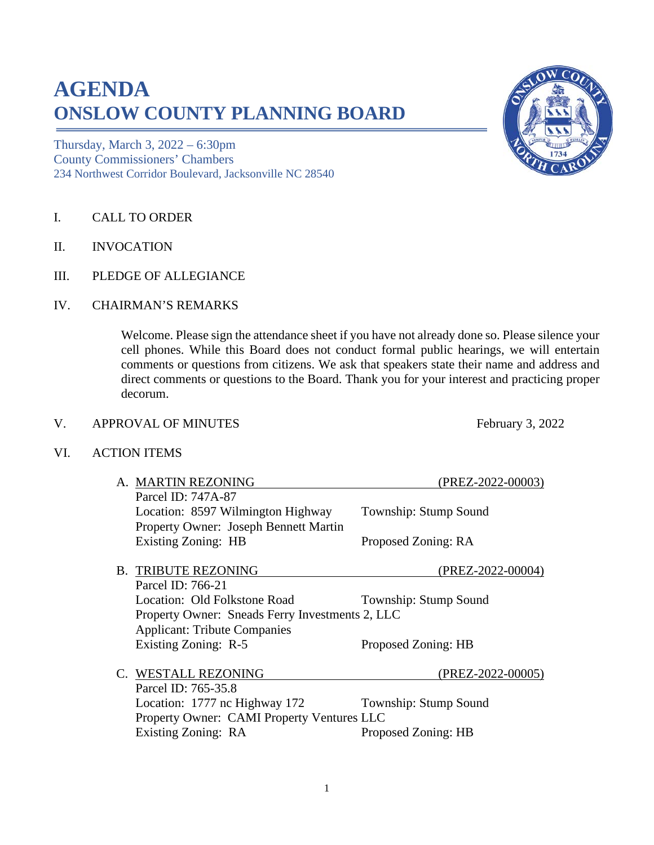## **AGENDA ONSLOW COUNTY PLANNING BOARD**

Thursday, March 3, 2022 – 6:30pm County Commissioners' Chambers 234 Northwest Corridor Boulevard, Jacksonville NC 28540

- I. CALL TO ORDER
- II. INVOCATION
- III. PLEDGE OF ALLEGIANCE
- IV. CHAIRMAN'S REMARKS

Welcome. Please sign the attendance sheet if you have not already done so. Please silence your cell phones. While this Board does not conduct formal public hearings, we will entertain comments or questions from citizens. We ask that speakers state their name and address and direct comments or questions to the Board. Thank you for your interest and practicing proper decorum.

## V. APPROVAL OF MINUTES February 3, 2022

VI. ACTION ITEMS

| A. MARTIN REZONING                              | (PREZ-2022-00003)     |
|-------------------------------------------------|-----------------------|
| Parcel ID: 747A-87                              |                       |
| Location: 8597 Wilmington Highway               | Township: Stump Sound |
| Property Owner: Joseph Bennett Martin           |                       |
| Existing Zoning: HB                             | Proposed Zoning: RA   |
|                                                 |                       |
| <b>B. TRIBUTE REZONING</b>                      | (PREZ-2022-00004)     |
| Parcel ID: 766-21                               |                       |
| Location: Old Folkstone Road                    | Township: Stump Sound |
| Property Owner: Sneads Ferry Investments 2, LLC |                       |
| <b>Applicant: Tribute Companies</b>             |                       |
| Existing Zoning: R-5                            | Proposed Zoning: HB   |
|                                                 |                       |
| C. WESTALL REZONING                             | (PREZ-2022-00005)     |
| Parcel ID: 765-35.8                             |                       |
| Location: 1777 nc Highway 172                   | Township: Stump Sound |
| Property Owner: CAMI Property Ventures LLC      |                       |
| Existing Zoning: RA                             | Proposed Zoning: HB   |
|                                                 |                       |